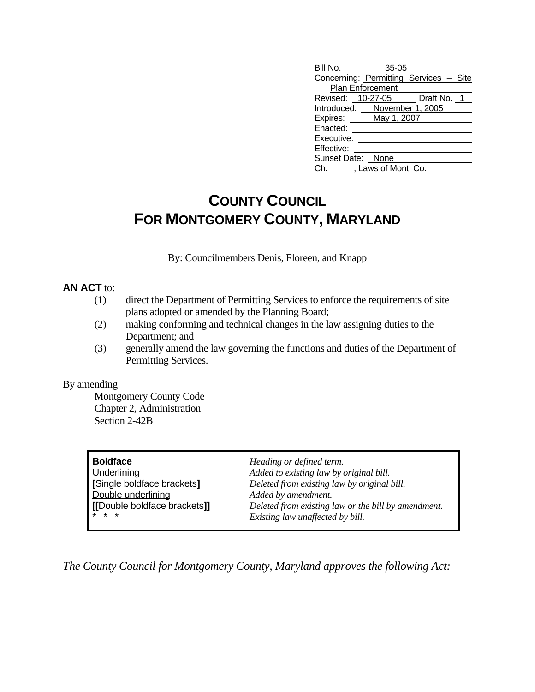| Bill No. 35-05                         |                  |  |  |  |  |  |
|----------------------------------------|------------------|--|--|--|--|--|
| Concerning: Permitting Services - Site |                  |  |  |  |  |  |
|                                        | Plan Enforcement |  |  |  |  |  |
| Revised: 10-27-05 Draft No. 1          |                  |  |  |  |  |  |
| Introduced: November 1, 2005           |                  |  |  |  |  |  |
| Expires: May 1, 2007                   |                  |  |  |  |  |  |
| Enacted:                               |                  |  |  |  |  |  |
| Executive:                             |                  |  |  |  |  |  |
| Effective:                             |                  |  |  |  |  |  |
| Sunset Date: None                      |                  |  |  |  |  |  |
| Ch. , Laws of Mont. Co.                |                  |  |  |  |  |  |

## **COUNTY COUNCIL FOR MONTGOMERY COUNTY, MARYLAND**

By: Councilmembers Denis, Floreen, and Knapp

## **AN ACT** to:

- (1) direct the Department of Permitting Services to enforce the requirements of site plans adopted or amended by the Planning Board;
- (2) making conforming and technical changes in the law assigning duties to the Department; and
- (3) generally amend the law governing the functions and duties of the Department of Permitting Services.

## By amending

 Montgomery County Code Chapter 2, Administration Section 2-42B

| <b>Boldface</b><br>Underlining<br>[Single boldface brackets]<br>Double underlining<br>[Double boldface brackets]] | Heading or defined term.<br>Added to existing law by original bill.<br>Deleted from existing law by original bill.<br>Added by amendment. |
|-------------------------------------------------------------------------------------------------------------------|-------------------------------------------------------------------------------------------------------------------------------------------|
| $* * *$                                                                                                           | Deleted from existing law or the bill by amendment.<br>Existing law unaffected by bill.                                                   |

*The County Council for Montgomery County, Maryland approves the following Act:*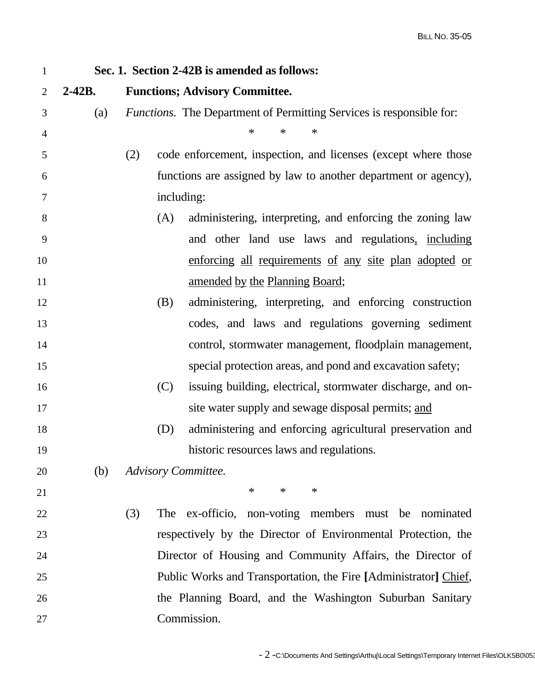| $\mathbf{1}$   | Sec. 1. Section 2-42B is amended as follows: |                                                                             |  |  |  |
|----------------|----------------------------------------------|-----------------------------------------------------------------------------|--|--|--|
| $\overline{2}$ | $2 - 42B$ .                                  | <b>Functions; Advisory Committee.</b>                                       |  |  |  |
| 3              | (a)                                          | <i>Functions.</i> The Department of Permitting Services is responsible for: |  |  |  |
| 4              |                                              | $\ast$<br>∗<br>$\ast$                                                       |  |  |  |
| 5              |                                              | code enforcement, inspection, and licenses (except where those<br>(2)       |  |  |  |
| 6              |                                              | functions are assigned by law to another department or agency),             |  |  |  |
| 7              |                                              | including:                                                                  |  |  |  |
| 8              |                                              | administering, interpreting, and enforcing the zoning law<br>(A)            |  |  |  |
| 9              |                                              | and other land use laws and regulations, including                          |  |  |  |
| 10             |                                              | enforcing all requirements of any site plan adopted or                      |  |  |  |
| 11             |                                              | amended by the Planning Board;                                              |  |  |  |
| 12             |                                              | (B)<br>administering, interpreting, and enforcing construction              |  |  |  |
| 13             |                                              | codes, and laws and regulations governing sediment                          |  |  |  |
| 14             |                                              | control, stormwater management, floodplain management,                      |  |  |  |
| 15             |                                              | special protection areas, and pond and excavation safety;                   |  |  |  |
| 16             |                                              | (C)<br>issuing building, electrical, stormwater discharge, and on-          |  |  |  |
| 17             |                                              | site water supply and sewage disposal permits; and                          |  |  |  |
| 18             |                                              | (D)<br>administering and enforcing agricultural preservation and            |  |  |  |
| 19             |                                              | historic resources laws and regulations.                                    |  |  |  |
| 20             | (b)                                          | <b>Advisory Committee.</b>                                                  |  |  |  |
| 21             |                                              | $\ast$<br>$\ast$<br>$\ast$                                                  |  |  |  |
| 22             |                                              | (3)<br>The ex-officio, non-voting members must be nominated                 |  |  |  |
| 23             |                                              | respectively by the Director of Environmental Protection, the               |  |  |  |
| 24             |                                              | Director of Housing and Community Affairs, the Director of                  |  |  |  |
| 25             |                                              | Public Works and Transportation, the Fire [Administrator] Chief,            |  |  |  |
| 26             |                                              | the Planning Board, and the Washington Suburban Sanitary                    |  |  |  |
| 27             |                                              | Commission.                                                                 |  |  |  |